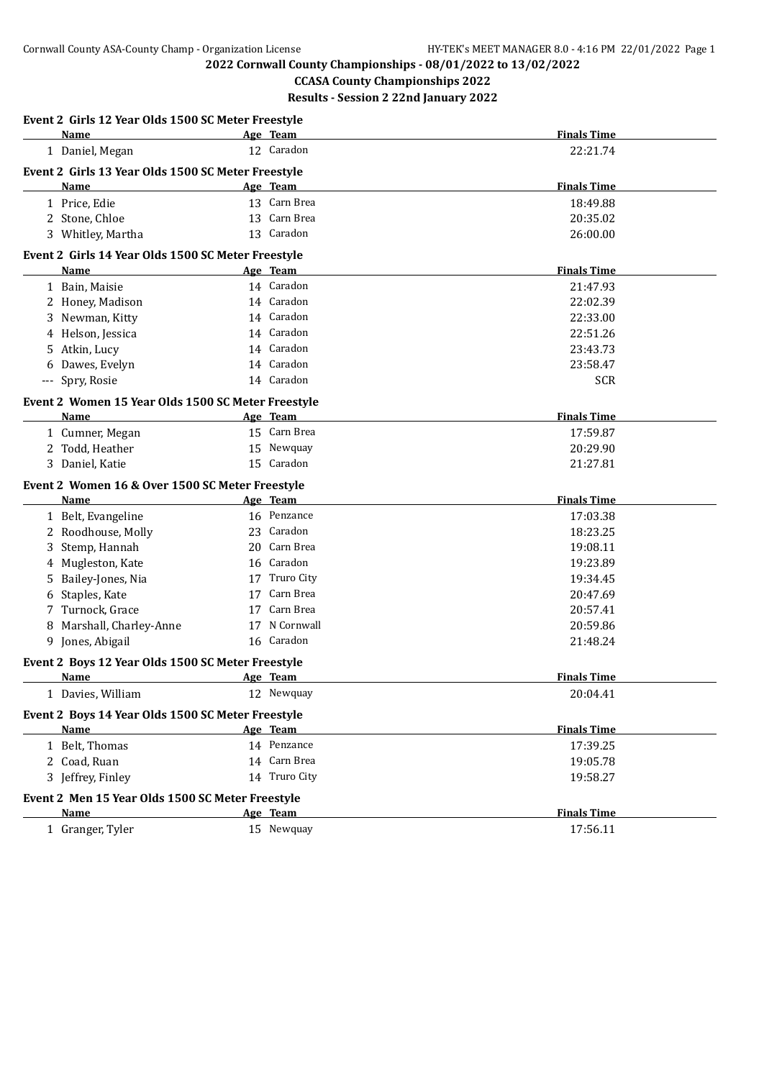**2022 Cornwall County Championships - 08/01/2022 to 13/02/2022**

**CCASA County Championships 2022 Results - Session 2 22nd January 2022**

| Event 2 Girls 12 Year Olds 1500 SC Meter Freestyle               |                 |                      |
|------------------------------------------------------------------|-----------------|----------------------|
| <b>Name</b>                                                      | <u>Age Team</u> | <b>Finals Time</b>   |
| 1 Daniel, Megan                                                  | 12 Caradon      | 22:21.74             |
| Event 2 Girls 13 Year Olds 1500 SC Meter Freestyle               |                 |                      |
| Name                                                             | Age Team        | <b>Finals Time</b>   |
| 1 Price, Edie                                                    | 13 Carn Brea    | 18:49.88             |
| 2 Stone, Chloe                                                   | 13 Carn Brea    | 20:35.02             |
| 3 Whitley, Martha                                                | 13 Caradon      | 26:00.00             |
| Event 2 Girls 14 Year Olds 1500 SC Meter Freestyle               |                 |                      |
| Name                                                             | Age Team        | <b>Finals Time</b>   |
| 1 Bain, Maisie                                                   | 14 Caradon      | 21:47.93             |
| 2 Honey, Madison                                                 | 14 Caradon      | 22:02.39             |
| 3 Newman, Kitty                                                  | 14 Caradon      | 22:33.00             |
| 4 Helson, Jessica                                                | 14 Caradon      | 22:51.26             |
| Atkin, Lucy<br>5.                                                | 14 Caradon      | 23:43.73             |
| Dawes, Evelyn                                                    | 14 Caradon      | 23:58.47             |
| --- Spry, Rosie                                                  | 14 Caradon      | <b>SCR</b>           |
| Event 2 Women 15 Year Olds 1500 SC Meter Freestyle               |                 |                      |
| Name                                                             | Age Team        | <b>Finals Time</b>   |
| 1 Cumner, Megan                                                  | 15 Carn Brea    | 17:59.87             |
| 2 Todd, Heather                                                  | 15 Newquay      | 20:29.90             |
| 3 Daniel, Katie                                                  | 15 Caradon      | 21:27.81             |
| Event 2 Women 16 & Over 1500 SC Meter Freestyle                  |                 |                      |
| Name                                                             | Age Team        | <b>Finals Time</b>   |
| 1 Belt, Evangeline                                               | 16 Penzance     | 17:03.38             |
| 2 Roodhouse, Molly                                               | 23 Caradon      | 18:23.25             |
| 3 Stemp, Hannah                                                  | 20 Carn Brea    | 19:08.11             |
| 4 Mugleston, Kate                                                | 16 Caradon      | 19:23.89             |
| Bailey-Jones, Nia<br>5.                                          | 17 Truro City   | 19:34.45             |
| 6 Staples, Kate                                                  | 17 Carn Brea    | 20:47.69             |
| 7 Turnock, Grace                                                 | Carn Brea<br>17 | 20:57.41             |
| 8 Marshall, Charley-Anne                                         | 17 N Cornwall   | 20:59.86             |
| 9 Jones, Abigail                                                 | 16 Caradon      | 21:48.24             |
| Event 2 Boys 12 Year Olds 1500 SC Meter Freestyle                |                 |                      |
| Name                                                             | Age Team        | <b>Finals Time</b>   |
| 1 Davies, William                                                | 12 Newquay      | 20:04.41             |
|                                                                  |                 |                      |
| Event 2 Boys 14 Year Olds 1500 SC Meter Freestyle<br><b>Name</b> | Age Team        | <b>Finals Time</b>   |
| 1 Belt, Thomas                                                   | 14 Penzance     | 17:39.25             |
| 2 Coad, Ruan                                                     | 14 Carn Brea    |                      |
| 3 Jeffrey, Finley                                                | 14 Truro City   | 19:05.78<br>19:58.27 |
|                                                                  |                 |                      |
| Event 2 Men 15 Year Olds 1500 SC Meter Freestyle                 |                 |                      |
| Name                                                             | Age Team        | <b>Finals Time</b>   |
| 1 Granger, Tyler                                                 | 15 Newquay      | 17:56.11             |